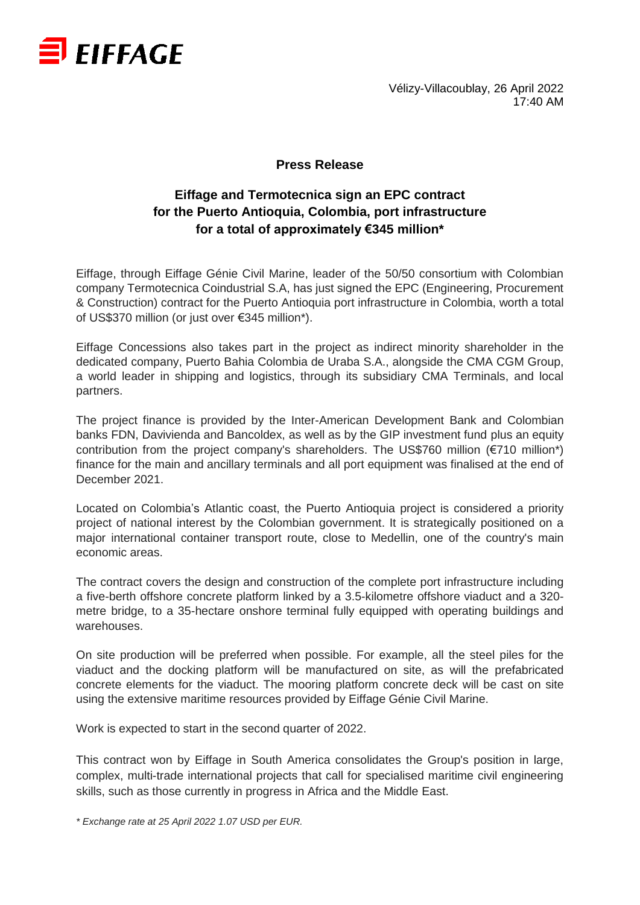

Vélizy-Villacoublay, 26 April 2022 17:40 AM

## **Press Release**

## **Eiffage and Termotecnica sign an EPC contract for the Puerto Antioquia, Colombia, port infrastructure for a total of approximately €345 million\***

Eiffage, through Eiffage Génie Civil Marine, leader of the 50/50 consortium with Colombian company Termotecnica Coindustrial S.A, has just signed the EPC (Engineering, Procurement & Construction) contract for the Puerto Antioquia port infrastructure in Colombia, worth a total of US\$370 million (or just over €345 million\*).

Eiffage Concessions also takes part in the project as indirect minority shareholder in the dedicated company, Puerto Bahia Colombia de Uraba S.A., alongside the CMA CGM Group, a world leader in shipping and logistics, through its subsidiary CMA Terminals, and local partners.

The project finance is provided by the Inter-American Development Bank and Colombian banks FDN, Davivienda and Bancoldex, as well as by the GIP investment fund plus an equity contribution from the project company's shareholders. The US\$760 million (€710 million\*) finance for the main and ancillary terminals and all port equipment was finalised at the end of December 2021.

Located on Colombia's Atlantic coast, the Puerto Antioquia project is considered a priority project of national interest by the Colombian government. It is strategically positioned on a major international container transport route, close to Medellin, one of the country's main economic areas.

The contract covers the design and construction of the complete port infrastructure including a five-berth offshore concrete platform linked by a 3.5-kilometre offshore viaduct and a 320 metre bridge, to a 35-hectare onshore terminal fully equipped with operating buildings and warehouses.

On site production will be preferred when possible. For example, all the steel piles for the viaduct and the docking platform will be manufactured on site, as will the prefabricated concrete elements for the viaduct. The mooring platform concrete deck will be cast on site using the extensive maritime resources provided by Eiffage Génie Civil Marine.

Work is expected to start in the second quarter of 2022.

This contract won by Eiffage in South America consolidates the Group's position in large, complex, multi-trade international projects that call for specialised maritime civil engineering skills, such as those currently in progress in Africa and the Middle East.

*\* Exchange rate at 25 April 2022 1.07 USD per EUR.*